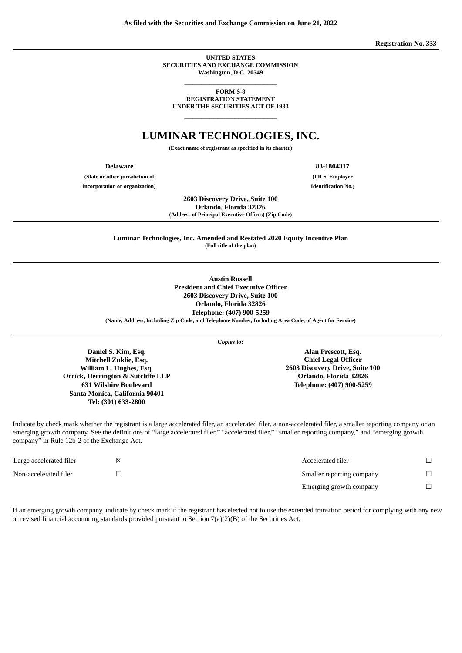**As filed with the Securities and Exchange Commission on June 21, 2022**

**Registration No. 333-**

**UNITED STATES SECURITIES AND EXCHANGE COMMISSION Washington, D.C. 20549**

> $\overline{\phantom{a}}$  , we can assume that the contract of  $\overline{\phantom{a}}$ **FORM S-8**

**REGISTRATION STATEMENT UNDER THE SECURITIES ACT OF 1933**  $\overline{\phantom{a}}$  , we can assume that the contract of  $\overline{\phantom{a}}$ 

# **LUMINAR TECHNOLOGIES, INC.**

**(Exact name of registrant as specified in its charter)**

**(State or other jurisdiction of (I.R.S. Employer incorporation or organization) Identification No.)**

**Delaware 83-1804317**

**2603 Discovery Drive, Suite 100**

**Orlando, Florida 32826 (Address of Principal Executive Offices) (Zip Code)**

**Luminar Technologies, Inc. Amended and Restated 2020 Equity Incentive Plan (Full title of the plan)**

> **Austin Russell President and Chief Executive Officer 2603 Discovery Drive, Suite 100 Orlando, Florida 32826 Telephone: (407) 900-5259**

**(Name, Address, Including Zip Code, and Telephone Number, Including Area Code, of Agent for Service)**

*Copies to***:**

**Daniel S. Kim, Esq. Mitchell Zuklie, Esq. William L. Hughes, Esq. Orrick, Herrington & Sutcliffe LLP 631 Wilshire Boulevard Santa Monica, California 90401 Tel: (301) 633-2800**

company" in Rule 12b-2 of the Exchange Act.

Indicate by check mark whether the registrant is a large accelerated filer, an accelerated filer, a non-accelerated filer, a smaller reporting company or an emerging growth company. See the definitions of "large accelerated filer," "accelerated filer," "smaller reporting company," and "emerging growth

| Large accelerated filer | ⊠ | Accelerated filer         |   |
|-------------------------|---|---------------------------|---|
| Non-accelerated filer   |   | Smaller reporting company | п |
|                         |   | Emerging growth company   |   |

If an emerging growth company, indicate by check mark if the registrant has elected not to use the extended transition period for complying with any new or revised financial accounting standards provided pursuant to Section 7(a)(2)(B) of the Securities Act.

**Alan Prescott, Esq. Chief Legal Officer 2603 Discovery Drive, Suite 100 Orlando, Florida 32826 Telephone: (407) 900-5259**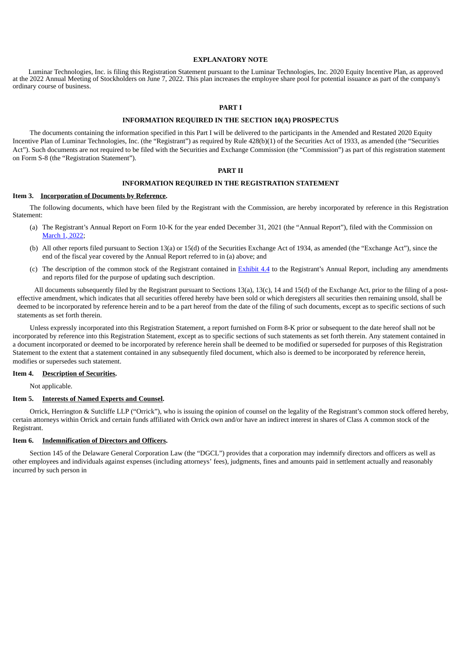#### **EXPLANATORY NOTE**

Luminar Technologies, Inc. is filing this Registration Statement pursuant to the Luminar Technologies, Inc. 2020 Equity Incentive Plan, as approved at the 2022 Annual Meeting of Stockholders on June 7, 2022. This plan increases the employee share pool for potential issuance as part of the company's ordinary course of business.

#### **PART I**

#### **INFORMATION REQUIRED IN THE SECTION 10(A) PROSPECTUS**

The documents containing the information specified in this Part I will be delivered to the participants in the Amended and Restated 2020 Equity Incentive Plan of Luminar Technologies, Inc. (the "Registrant") as required by Rule 428(b)(1) of the Securities Act of 1933, as amended (the "Securities Act"). Such documents are not required to be filed with the Securities and Exchange Commission (the "Commission") as part of this registration statement on Form S-8 (the "Registration Statement").

#### **PART II**

### **INFORMATION REQUIRED IN THE REGISTRATION STATEMENT**

#### **Item 3. Incorporation of Documents by Reference.**

The following documents, which have been filed by the Registrant with the Commission, are hereby incorporated by reference in this Registration Statement:

- (a) The Registrant's Annual Report on Form 10-K for the year ended December 31, 2021 (the "Annual Report"), filed with the Commission on [March](http://www.sec.gov/ix?doc=/Archives/edgar/data/0001758057/000162828022004366/lazr-20211231.htm) 1, [2022;](http://www.sec.gov/ix?doc=/Archives/edgar/data/0001758057/000162828022004366/lazr-20211231.htm)
- (b) All other reports filed pursuant to Section 13(a) or 15(d) of the Securities Exchange Act of 1934, as amended (the "Exchange Act"), since the end of the fiscal year covered by the Annual Report referred to in (a) above; and
- (c) The description of the common stock of the Registrant contained in **[Exhibit](https://www.sec.gov/Archives/edgar/data/0001758057/000162828022004366/exhibit44descriptionofsecu.htm) 4.4** to the Registrant's Annual Report, including any amendments and reports filed for the purpose of updating such description.

All documents subsequently filed by the Registrant pursuant to Sections 13(a), 13(c), 14 and 15(d) of the Exchange Act, prior to the filing of a posteffective amendment, which indicates that all securities offered hereby have been sold or which deregisters all securities then remaining unsold, shall be deemed to be incorporated by reference herein and to be a part hereof from the date of the filing of such documents, except as to specific sections of such statements as set forth therein.

Unless expressly incorporated into this Registration Statement, a report furnished on Form 8-K prior or subsequent to the date hereof shall not be incorporated by reference into this Registration Statement, except as to specific sections of such statements as set forth therein. Any statement contained in a document incorporated or deemed to be incorporated by reference herein shall be deemed to be modified or superseded for purposes of this Registration Statement to the extent that a statement contained in any subsequently filed document, which also is deemed to be incorporated by reference herein, modifies or supersedes such statement.

#### **Item 4. Description of Securities.**

Not applicable.

#### **Item 5. Interests of Named Experts and Counsel.**

Orrick, Herrington & Sutcliffe LLP ("Orrick"), who is issuing the opinion of counsel on the legality of the Registrant's common stock offered hereby, certain attorneys within Orrick and certain funds affiliated with Orrick own and/or have an indirect interest in shares of Class A common stock of the Registrant.

#### **Item 6. Indemnification of Directors and Officers.**

Section 145 of the Delaware General Corporation Law (the "DGCL") provides that a corporation may indemnify directors and officers as well as other employees and individuals against expenses (including attorneys' fees), judgments, fines and amounts paid in settlement actually and reasonably incurred by such person in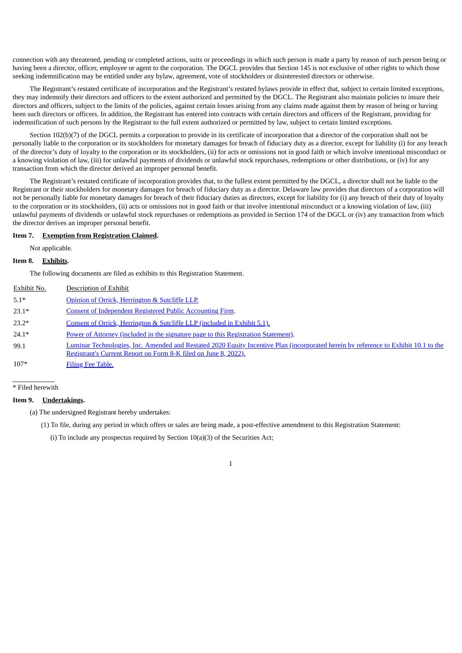connection with any threatened, pending or completed actions, suits or proceedings in which such person is made a party by reason of such person being or having been a director, officer, employee or agent to the corporation. The DGCL provides that Section 145 is not exclusive of other rights to which those seeking indemnification may be entitled under any bylaw, agreement, vote of stockholders or disinterested directors or otherwise.

The Registrant's restated certificate of incorporation and the Registrant's restated bylaws provide in effect that, subject to certain limited exceptions, they may indemnify their directors and officers to the extent authorized and permitted by the DGCL. The Registrant also maintain policies to insure their directors and officers, subject to the limits of the policies, against certain losses arising from any claims made against them by reason of being or having been such directors or officers. In addition, the Registrant has entered into contracts with certain directors and officers of the Registrant, providing for indemnification of such persons by the Registrant to the full extent authorized or permitted by law, subject to certain limited exceptions.

Section 102(b)(7) of the DGCL permits a corporation to provide in its certificate of incorporation that a director of the corporation shall not be personally liable to the corporation or its stockholders for monetary damages for breach of fiduciary duty as a director, except for liability (i) for any breach of the director's duty of loyalty to the corporation or its stockholders, (ii) for acts or omissions not in good faith or which involve intentional misconduct or a knowing violation of law, (iii) for unlawful payments of dividends or unlawful stock repurchases, redemptions or other distributions, or (iv) for any transaction from which the director derived an improper personal benefit.

The Registrant's restated certificate of incorporation provides that, to the fullest extent permitted by the DGCL, a director shall not be liable to the Registrant or their stockholders for monetary damages for breach of fiduciary duty as a director. Delaware law provides that directors of a corporation will not be personally liable for monetary damages for breach of their fiduciary duties as directors, except for liability for (i) any breach of their duty of loyalty to the corporation or its stockholders, (ii) acts or omissions not in good faith or that involve intentional misconduct or a knowing violation of law, (iii) unlawful payments of dividends or unlawful stock repurchases or redemptions as provided in Section 174 of the DGCL or (iv) any transaction from which the director derives an improper personal benefit.

### **Item 7. Exemption from Registration Claimed.**

Not applicable.

#### **Item 8. Exhibits.**

The following documents are filed as exhibits to this Registration Statement.

| Exhibit No. | Description of Exhibit                                                                                                                                                                                 |
|-------------|--------------------------------------------------------------------------------------------------------------------------------------------------------------------------------------------------------|
| $5.1*$      | Opinion of Orrick, Herrington & Sutcliffe LLP.                                                                                                                                                         |
| $23.1*$     | <b>Consent of Independent Registered Public Accounting Firm.</b>                                                                                                                                       |
| $23.2*$     | Consent of Orrick, Herrington & Sutcliffe LLP (included in Exhibit 5.1).                                                                                                                               |
| $24.1*$     | Power of Attorney (included in the signature page to this Registration Statement).                                                                                                                     |
| 99.1        | Luminar Technologies, Inc. Amended and Restated 2020 Equity Incentive Plan (incorporated herein by reference to Exhibit 10.1 to the<br>Registrant's Current Report on Form 8-K filed on June 8, 2022). |
| $107*$      | <b>Filing Fee Table.</b>                                                                                                                                                                               |

 $\overline{\phantom{a}}$   $\overline{\phantom{a}}$   $\overline{\phantom{a}}$   $\overline{\phantom{a}}$   $\overline{\phantom{a}}$   $\overline{\phantom{a}}$   $\overline{\phantom{a}}$   $\overline{\phantom{a}}$   $\overline{\phantom{a}}$   $\overline{\phantom{a}}$   $\overline{\phantom{a}}$   $\overline{\phantom{a}}$   $\overline{\phantom{a}}$   $\overline{\phantom{a}}$   $\overline{\phantom{a}}$   $\overline{\phantom{a}}$   $\overline{\phantom{a}}$   $\overline{\phantom{a}}$   $\overline{\$ \* Filed herewith

#### **Item 9. Undertakings.**

- (a) The undersigned Registrant hereby undertakes:
	- (1) To file, during any period in which offers or sales are being made, a post-effective amendment to this Registration Statement:

(i) To include any prospectus required by Section  $10(a)(3)$  of the Securities Act;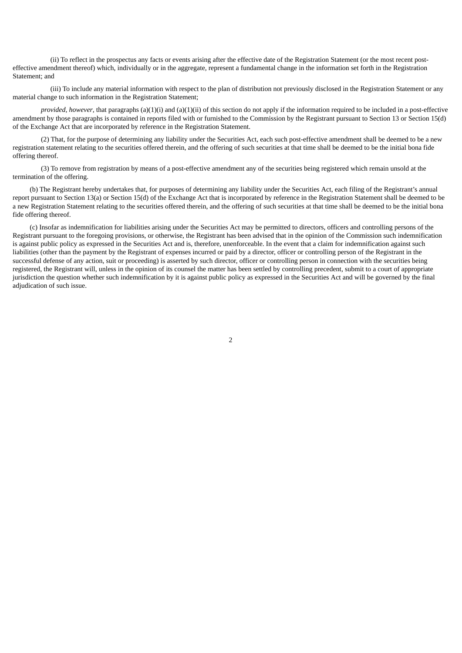(ii) To reflect in the prospectus any facts or events arising after the effective date of the Registration Statement (or the most recent posteffective amendment thereof) which, individually or in the aggregate, represent a fundamental change in the information set forth in the Registration Statement; and

(iii) To include any material information with respect to the plan of distribution not previously disclosed in the Registration Statement or any material change to such information in the Registration Statement;

*provided, however*, that paragraphs (a)(1)(i) and (a)(1)(ii) of this section do not apply if the information required to be included in a post-effective amendment by those paragraphs is contained in reports filed with or furnished to the Commission by the Registrant pursuant to Section 13 or Section 15(d) of the Exchange Act that are incorporated by reference in the Registration Statement.

(2) That, for the purpose of determining any liability under the Securities Act, each such post-effective amendment shall be deemed to be a new registration statement relating to the securities offered therein, and the offering of such securities at that time shall be deemed to be the initial bona fide offering thereof.

(3) To remove from registration by means of a post-effective amendment any of the securities being registered which remain unsold at the termination of the offering.

(b) The Registrant hereby undertakes that, for purposes of determining any liability under the Securities Act, each filing of the Registrant's annual report pursuant to Section 13(a) or Section 15(d) of the Exchange Act that is incorporated by reference in the Registration Statement shall be deemed to be a new Registration Statement relating to the securities offered therein, and the offering of such securities at that time shall be deemed to be the initial bona fide offering thereof.

<span id="page-3-0"></span>(c) Insofar as indemnification for liabilities arising under the Securities Act may be permitted to directors, officers and controlling persons of the Registrant pursuant to the foregoing provisions, or otherwise, the Registrant has been advised that in the opinion of the Commission such indemnification is against public policy as expressed in the Securities Act and is, therefore, unenforceable. In the event that a claim for indemnification against such liabilities (other than the payment by the Registrant of expenses incurred or paid by a director, officer or controlling person of the Registrant in the successful defense of any action, suit or proceeding) is asserted by such director, officer or controlling person in connection with the securities being registered, the Registrant will, unless in the opinion of its counsel the matter has been settled by controlling precedent, submit to a court of appropriate jurisdiction the question whether such indemnification by it is against public policy as expressed in the Securities Act and will be governed by the final adjudication of such issue.

2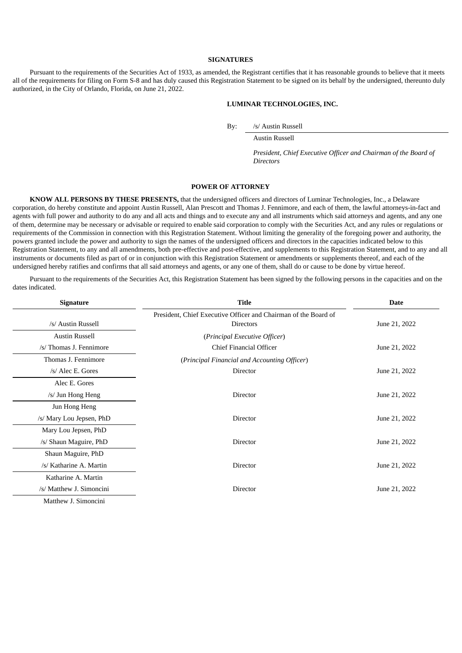### **SIGNATURES**

Pursuant to the requirements of the Securities Act of 1933, as amended, the Registrant certifies that it has reasonable grounds to believe that it meets all of the requirements for filing on Form S-8 and has duly caused this Registration Statement to be signed on its behalf by the undersigned, thereunto duly authorized, in the City of Orlando, Florida, on June 21, 2022.

#### **LUMINAR TECHNOLOGIES, INC.**

By: /s/ Austin Russell

Austin Russell

*President, Chief Executive Officer and Chairman of the Board of Directors*

### **POWER OF ATTORNEY**

**KNOW ALL PERSONS BY THESE PRESENTS,** that the undersigned officers and directors of Luminar Technologies, Inc., a Delaware corporation, do hereby constitute and appoint Austin Russell, Alan Prescott and Thomas J. Fennimore, and each of them, the lawful attorneys-in-fact and agents with full power and authority to do any and all acts and things and to execute any and all instruments which said attorneys and agents, and any one of them, determine may be necessary or advisable or required to enable said corporation to comply with the Securities Act, and any rules or regulations or requirements of the Commission in connection with this Registration Statement. Without limiting the generality of the foregoing power and authority, the powers granted include the power and authority to sign the names of the undersigned officers and directors in the capacities indicated below to this Registration Statement, to any and all amendments, both pre-effective and post-effective, and supplements to this Registration Statement, and to any and all instruments or documents filed as part of or in conjunction with this Registration Statement or amendments or supplements thereof, and each of the undersigned hereby ratifies and confirms that all said attorneys and agents, or any one of them, shall do or cause to be done by virtue hereof.

Pursuant to the requirements of the Securities Act, this Registration Statement has been signed by the following persons in the capacities and on the dates indicated.

| <b>Signature</b>         | <b>Title</b>                                                    |               |
|--------------------------|-----------------------------------------------------------------|---------------|
|                          | President, Chief Executive Officer and Chairman of the Board of |               |
| /s/ Austin Russell       | <b>Directors</b>                                                | June 21, 2022 |
| <b>Austin Russell</b>    | (Principal Executive Officer)                                   |               |
| /s/ Thomas J. Fennimore  | Chief Financial Officer                                         | June 21, 2022 |
| Thomas J. Fennimore      | (Principal Financial and Accounting Officer)                    |               |
| /s/ Alec E. Gores        | Director                                                        | June 21, 2022 |
| Alec E. Gores            |                                                                 |               |
| /s/ Jun Hong Heng        | Director                                                        | June 21, 2022 |
| Jun Hong Heng            |                                                                 |               |
| /s/ Mary Lou Jepsen, PhD | Director                                                        | June 21, 2022 |
| Mary Lou Jepsen, PhD     |                                                                 |               |
| /s/ Shaun Maguire, PhD   | Director                                                        | June 21, 2022 |
| Shaun Maguire, PhD       |                                                                 |               |
| /s/ Katharine A. Martin  | Director                                                        | June 21, 2022 |
| Katharine A. Martin      |                                                                 |               |
| /s/ Matthew J. Simoncini | Director                                                        | June 21, 2022 |
| Matthew J. Simoncini     |                                                                 |               |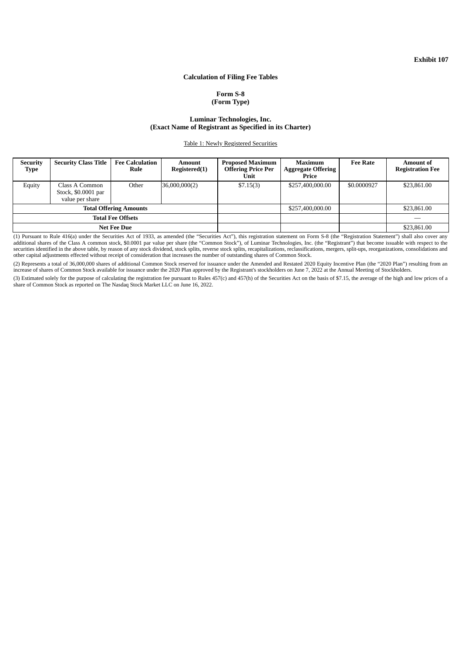**Exhibit 107**

### **Calculation of Filing Fee Tables**

### **Form S-8 (Form Type)**

#### **Luminar Technologies, Inc. (Exact Name of Registrant as Specified in its Charter)**

Table 1: Newly Registered Securities

<span id="page-5-0"></span>

| <b>Security</b><br>Type       | <b>Security Class Title</b>                              | <b>Fee Calculation</b><br>Rule | Amount<br>Registered(1) | <b>Proposed Maximum</b><br><b>Offering Price Per</b><br>Unit | <b>Maximum</b><br><b>Aggregate Offering</b><br>Price | <b>Fee Rate</b> | <b>Amount of</b><br><b>Registration Fee</b> |
|-------------------------------|----------------------------------------------------------|--------------------------------|-------------------------|--------------------------------------------------------------|------------------------------------------------------|-----------------|---------------------------------------------|
| Equity                        | Class A Common<br>Stock, \$0.0001 par<br>value per share | Other                          | 36,000,000(2)           | \$7.15(3)                                                    | \$257,400,000.00                                     | \$0.0000927     | \$23,861.00                                 |
| <b>Total Offering Amounts</b> |                                                          |                                | \$257,400,000.00        |                                                              | \$23,861.00                                          |                 |                                             |
| <b>Total Fee Offsets</b>      |                                                          |                                |                         |                                                              |                                                      |                 |                                             |
| <b>Net Fee Due</b>            |                                                          |                                |                         |                                                              | \$23,861.00                                          |                 |                                             |

(1) Pursuant to Rule 416(a) under the Securities Act of 1933, as amended (the "Securities Act"), this registration statement on Form S-8 (the "Registration Statement") shall also cover any additional shares of the Class A common stock, \$0.0001 par value per share (the "Common Stock"), of Luminar Technologies, Inc. (the "Registrant") that become issuable with respect to the securities identified in the above table, by reason of any stock dividend, stock splits, reverse stock splits, recapitalizations, reclassifications, mergers, split-ups, reorganizations, consolidations and other capital adjustments effected without receipt of consideration that increases the number of outstanding shares of Common Stock.

(2) Represents a total of 36,000,000 shares of additional Common Stock reserved for issuance under the Amended and Restated 2020 Equity Incentive Plan (the "2020 Plan") resulting from an increase of shares of Common Stock available for issuance under the 2020 Plan approved by the Registrant's stockholders on June 7, 2022 at the Annual Meeting of Stockholders.

(3) Estimated solely for the purpose of calculating the registration fee pursuant to Rules 457(c) and 457(h) of the Securities Act on the basis of \$7.15, the average of the high and low prices of a share of Common Stock as reported on The Nasdaq Stock Market LLC on June 16, 2022.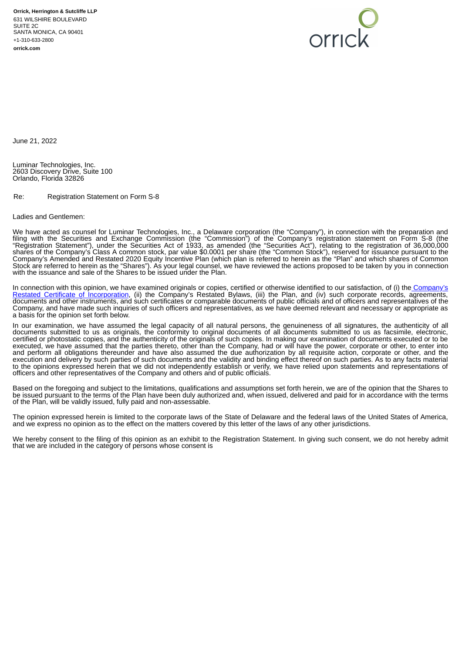

<span id="page-6-0"></span>June 21, 2022

Luminar Technologies, Inc. 2603 Discovery Drive, Suite 100 Orlando, Florida 32826

Re: Registration Statement on Form S-8

#### Ladies and Gentlemen:

We have acted as counsel for Luminar Technologies, Inc., a Delaware corporation (the "Company"), in connection with the preparation and filing with the Securities and Exchange Commission (the "Commission") of the Company's registration statement on Form S-8 (the "Registration Statement"), under the Securities Act of 1933, as amended (the "Securities Act"), relating to the registration of 36,000,000 shares of the Company's Class A common stock, par value \$0.0001 per share (the "Common Stock"), reserved for issuance pursuant to the Company's Amended and Restated 2020 Equity Incentive Plan (which plan is referred to herein as the "Plan" and which shares of Common Stock are referred to herein as the "Shares"). As your legal counsel, we have reviewed the actions proposed to be taken by you in connection with the issuance and sale of the Shares to be issued under the Plan.

In connection with this opinion, we have examined originals or copies, certified or otherwise identified to our satisfaction, of (i) the Company's Restated Certificate of [Incorporation,](http://www.sec.gov/Archives/edgar/data/789019/000119312516782569/d305147dex31.htm) (ii) the Company's Restated Bylaws, (iii) the Plan, and (iv) such corporate records, agreements, documents and other instruments, and such certificates or comparable documents of public officials and of officers and representatives of the Company, and have made such inquiries of such officers and representatives, as we have deemed relevant and necessary or appropriate as a basis for the opinion set forth below.

In our examination, we have assumed the legal capacity of all natural persons, the genuineness of all signatures, the authenticity of all documents submitted to us as originals, the conformity to original documents of all documents submitted to us as facsimile, electronic, certified or photostatic copies, and the authenticity of the originals of such copies. In making our examination of documents executed or to be executed, we have assumed that the parties thereto, other than the Company, had or will have the power, corporate or other, to enter into and perform all obligations thereunder and have also assumed the due authorization by all requisite action, corporate or other, and the execution and delivery by such parties of such documents and the validity and binding effect thereof on such parties. As to any facts material to the opinions expressed herein that we did not independently establish or verify, we have relied upon statements and representations of officers and other representatives of the Company and others and of public officials.

Based on the foregoing and subject to the limitations, qualifications and assumptions set forth herein, we are of the opinion that the Shares to be issued pursuant to the terms of the Plan have been duly authorized and, when issued, delivered and paid for in accordance with the terms of the Plan, will be validly issued, fully paid and non-assessable.

The opinion expressed herein is limited to the corporate laws of the State of Delaware and the federal laws of the United States of America, and we express no opinion as to the effect on the matters covered by this letter of the laws of any other jurisdictions.

We hereby consent to the filing of this opinion as an exhibit to the Registration Statement. In giving such consent, we do not hereby admit that we are included in the category of persons whose consent is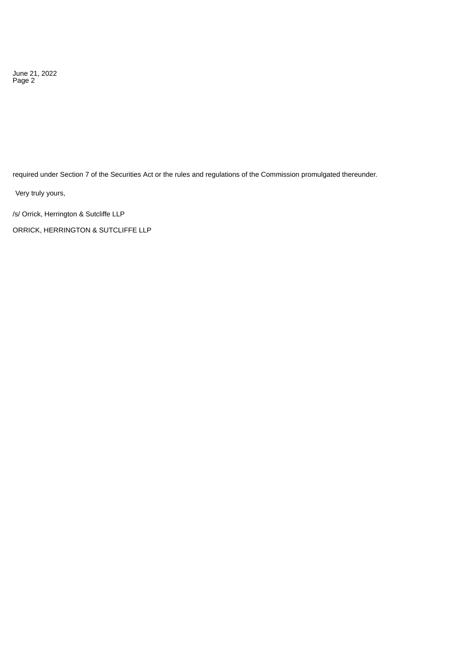June 21, 2022 Page 2

required under Section 7 of the Securities Act or the rules and regulations of the Commission promulgated thereunder.

Very truly yours,

/s/ Orrick, Herrington & Sutcliffe LLP

ORRICK, HERRINGTON & SUTCLIFFE LLP